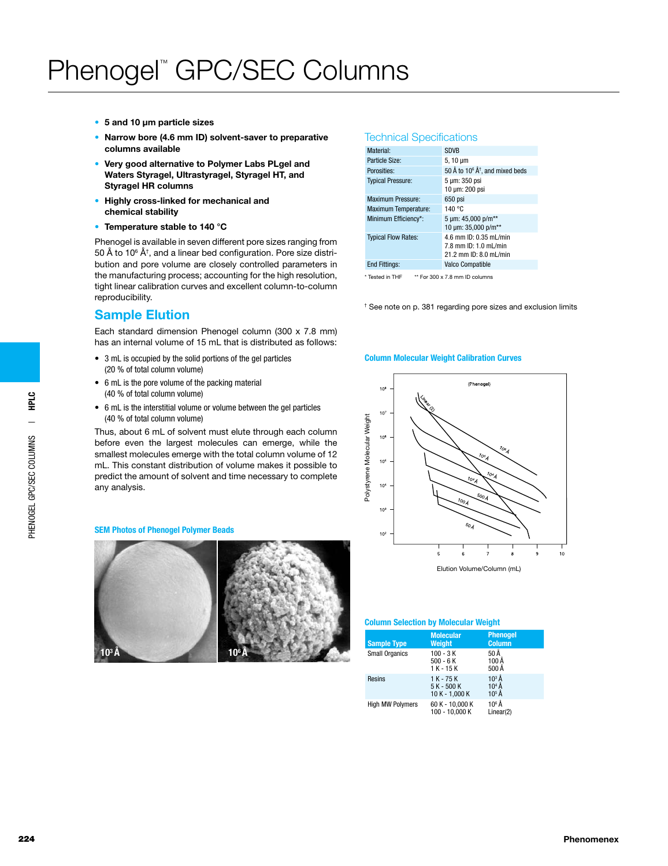- • 5 and 10 μm particle sizes
- Narrow bore (4.6 mm ID) solvent-saver to preparative columns available
- Very good alternative to Polymer Labs PLgel and Waters Styragel, Ultrastyragel, Styragel HT, and Styragel HR columns
- • Highly cross-linked for mechanical and chemical stability
- Temperature stable to 140 °C

Phenogel is available in seven different pore sizes ranging from 50 Å to 10 $^6$  ņ, and a linear bed configuration. Pore size distribution and pore volume are closely controlled parameters in the manufacturing process; accounting for the high resolution, tight linear calibration curves and excellent column-to-column reproducibility.

### Sample Elution

Each standard dimension Phenogel column (300 x 7.8 mm) has an internal volume of 15 mL that is distributed as follows:

- 3 mL is occupied by the solid portions of the gel particles (20 % of total column volume)
- • 6 mL is the pore volume of the packing material (40 % of total column volume)
- • 6 mL is the interstitial volume or volume between the gel particles (40 % of total column volume)

Thus, about 6 mL of solvent must elute through each column before even the largest molecules can emerge, while the smallest molecules emerge with the total column volume of 12 mL. This constant distribution of volume makes it possible to predict the amount of solvent and time necessary to complete any analysis.

#### SEM Photos of Phenogel Polymer Beads



#### Technical Specifications

| Material <sup>-</sup>       | <b>SDVB</b>                                                                  |
|-----------------------------|------------------------------------------------------------------------------|
| Particle Size:              | 5, 10 $\mu$ m                                                                |
| Porosities:                 | 50 Å to 10 <sup>6</sup> Å <sup>†</sup> , and mixed beds                      |
| <b>Typical Pressure:</b>    | 5 µm: 350 psi<br>10 um: 200 psi                                              |
| <b>Maximum Pressure:</b>    | 650 psi                                                                      |
| <b>Maximum Temperature:</b> | 140 °C                                                                       |
| Minimum Efficiency*:        | 5 um: 45.000 p/m**<br>10 µm: 35,000 p/m**                                    |
| <b>Typical Flow Rates:</b>  | 4.6 mm ID: 0.35 mL/min<br>7.8 mm ID: 1.0 mL/min<br>21.2 mm ID: $8.0$ ml /min |
| <b>End Fittings:</b>        | <b>Valco Compatible</b>                                                      |
|                             |                                                                              |

\* Tested in THF \*\* For 300 x 7.8 mm ID columns

† See note on p. 381 regarding pore sizes and exclusion limits

#### Column Molecular Weight Calibration Curves



#### Column Selection by Molecular Weight

| <b>Sample Type</b>      | <b>Molecular</b><br>Weight                      | <b>Phenogel</b><br><b>Column</b> |
|-------------------------|-------------------------------------------------|----------------------------------|
| <b>Small Organics</b>   | $100 - 3K$<br>$500 - 6K$<br>$1 K - 15 K$        | 50 Å<br>100Å<br>500 Å            |
| <b>Resins</b>           | $1 K - 75 K$<br>5 K - 500 K<br>$10 K - 1,000 K$ | $10^3$ Å<br>$104$ Å<br>$10^5$ Å  |
| <b>High MW Polymers</b> | 60 K - 10.000 K<br>100 - 10.000 K               | $10^6$ Å<br>Linear(2)            |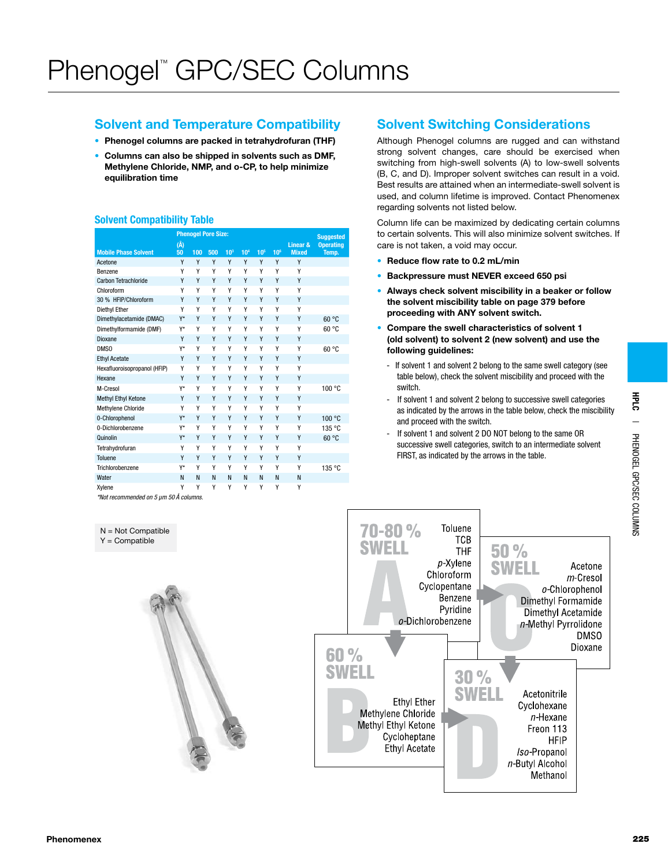### Solvent and Temperature Compatibility

- Phenogel columns are packed in tetrahydrofuran (THF)
- Columns can also be shipped in solvents such as DMF, Methylene Chloride, NMP, and o-CP, to help minimize equilibration time

### Solvent Compatibility Table

N = Not Compatible  $Y =$  Compatible

|                                        |     | <b>Phenogel Pore Size:</b> |     |                 |                 |                 |                 | <b>Suggested</b> |                  |
|----------------------------------------|-----|----------------------------|-----|-----------------|-----------------|-----------------|-----------------|------------------|------------------|
|                                        | (Å) |                            |     |                 |                 |                 |                 | Linear &         | <b>Operating</b> |
| <b>Mobile Phase Solvent</b>            | 50  | 100                        | 500 | 10 <sup>3</sup> | 10 <sup>4</sup> | 10 <sup>5</sup> | 10 <sup>6</sup> | <b>Mixed</b>     | Temp.            |
| Acetone                                | γ   | γ                          | Υ   | γ               | Y               | γ               | γ               | γ                |                  |
| Benzene                                | Υ   | Υ                          | Υ   | γ               | Υ               | Υ               | Y               | Υ                |                  |
| Carbon Tetrachloride                   | Y   | Y                          | Υ   | Υ               | Υ               | Υ               | Υ               | Υ                |                  |
| Chloroform                             | γ   | Υ                          | Υ   | γ               | Υ               | Υ               | γ               | γ                |                  |
| 30 % HFIP/Chloroform                   | γ   | Y                          | Υ   | γ               | Y               | Υ               | γ               | Y                |                  |
| Diethyl Ether                          | γ   | Υ                          | Υ   | Υ               | Υ               | Υ               | Y               | Υ                |                  |
| Dimethylacetamide (DMAC)               | Y*  | Y                          | Υ   | Υ               | Y               | Υ               | Υ               | Y                | 60 °C            |
| Dimethylformamide (DMF)                | Y*  | Υ                          | Υ   | Υ               | Υ               | Υ               | Y               | Υ                | 60 °C            |
| Dioxane                                | Y   | Y                          | Υ   | Υ               | Y               | Υ               | Υ               | Υ                |                  |
| DMS <sub>0</sub>                       | Y*  | Υ                          | Υ   | γ               | Υ               | Υ               | Υ               | Υ                | 60 °C            |
| <b>Ethyl Acetate</b>                   | Υ   | Y                          | Υ   | γ               | Y               | Y               | γ               | Y                |                  |
| Hexafluoroisopropanol (HFIP)           | Υ   | Υ                          | Υ   | Υ               | Υ               | Υ               | Υ               | Υ                |                  |
| Hexane                                 | Y   | Y                          | Υ   | Υ               | Y               | Υ               | Υ               | Y                |                  |
| M-Cresol                               | Y*  | Υ                          | Υ   | Υ               | Υ               | Υ               | Υ               | Υ                | 100 °C           |
| Methyl Ethyl Ketone                    | Y   | Y                          | Υ   | Υ               | Y               | Y               | Υ               | Υ                |                  |
| Methylene Chloride                     | Υ   | Υ                          | Υ   | Υ               | Υ               | Υ               | Υ               | Υ                |                  |
| 0-Chlorophenol                         | Y*  | Y                          | Υ   | Υ               | Υ               | Υ               | Υ               | Υ                | 100 °C           |
| 0-Dichlorobenzene                      | Y*  | Υ                          | Υ   | γ               | Υ               | Υ               | Υ               | Υ                | 135 °C           |
| Quinolin                               | Y*  | Y                          | Υ   | γ               | Y               | Y               | Υ               | Y                | 60 °C            |
| Tetrahydrofuran                        | Υ   | Υ                          | Υ   | Υ               | Υ               | Υ               | Υ               | Υ                |                  |
| Toluene                                | Y   | Y                          | Υ   | Υ               | Y               | Υ               | Υ               | Y                |                  |
| Trichlorobenzene                       | Y*  | Υ                          | Υ   | Υ               | Υ               | Υ               | Υ               | Υ                | 135 °C           |
| Water                                  | N   | N                          | N   | N               | N               | N               | N               | N                |                  |
| Xylene                                 | Υ   | Y                          | Y   | Υ               | Y               | Υ               | Υ               | Υ                |                  |
| *Not recommended on 5 um 50 Å columns. |     |                            |     |                 |                 |                 |                 |                  |                  |

### Solvent Switching Considerations

Although Phenogel columns are rugged and can withstand strong solvent changes, care should be exercised when switching from high-swell solvents (A) to low-swell solvents (B, C, and D). Improper solvent switches can result in a void. Best results are attained when an intermediate-swell solvent is used, and column lifetime is improved. Contact Phenomenex regarding solvents not listed below.

Column life can be maximized by dedicating certain columns to certain solvents. This will also minimize solvent switches. If care is not taken, a void may occur.

- Reduce flow rate to 0.2 mL/min
- Backpressure must NEVER exceed 650 psi
- Always check solvent miscibility in a beaker or follow the solvent miscibility table on page 379 before proceeding with ANY solvent switch.
- Compare the swell characteristics of solvent 1 (old solvent) to solvent 2 (new solvent) and use the following guidelines:
	- If solvent 1 and solvent 2 belong to the same swell category (see table below), check the solvent miscibility and proceed with the switch.
	- If solvent 1 and solvent 2 belong to successive swell categories as indicated by the arrows in the table below, check the miscibility and proceed with the switch.
	- If solvent 1 and solvent 2 DO NOT belong to the same OR successive swell categories, switch to an intermediate solvent FIRST, as indicated by the arrows in the table.



HPLC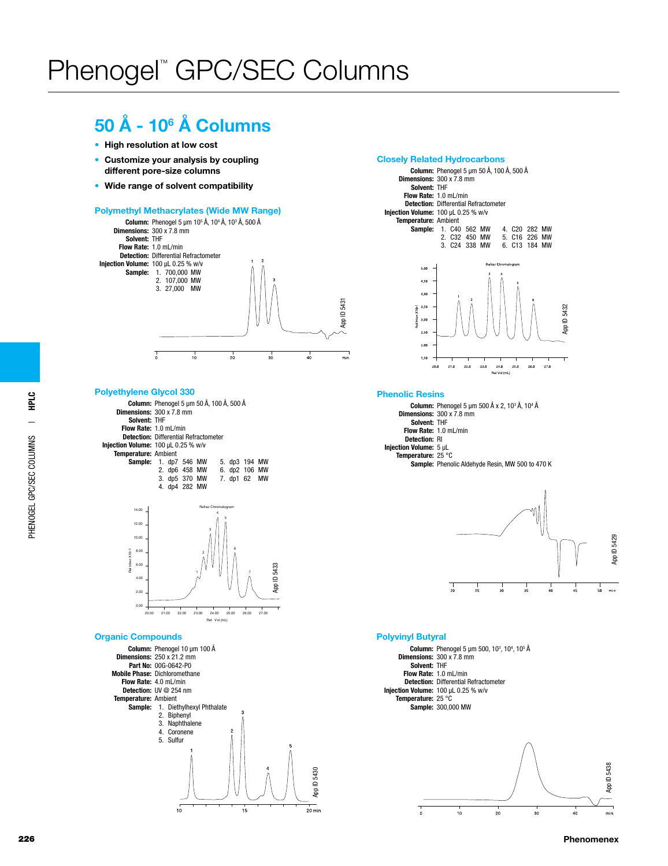## 50 Å - 106 Å Columns

- High resolution at low cost
- Customize your analysis by coupling different pore-size columns
- Wide range of solvent compatibility

#### Polymethyl Methacrylates (Wide MW Range)



#### Polyethylene Glycol 330

Column: Phenogel 5 μm 50 Å, 100 Å, 500 Å Dimensions:  $300 \times 7.8$  mm Solvent: THF Flow Rate: 1.0 mL/min Detection: Differential Refractometer Injection Volume: 100 µL 0.25 % w/v Temperature: Ambient<br>Sample: 1. dp7 1. dp7 546 MW 2. dp6 458 MW 3. dp5 370 MW 4. dp4 282 MW 5. dp3 194 MW 6. dp2 106 MW 7. dp1 62 MW



#### Organic Compounds



#### Closely Related Hydrocarbons



#### Phenolic Resins

**Column:** Phenogel 5 μm 500 Å x 2, 10<sup>3</sup> Å, 10<sup>4</sup> Å Dimensions: 300 x 7.8 mm Solvent: THF Flow Rate: 1.0 mL/min Detection: RI Injection Volume: 5 µL Temperature: 25 °C Sample: Phenolic Aldehyde Resin, MW 500 to 470 K



#### Polyvinyl Butyral



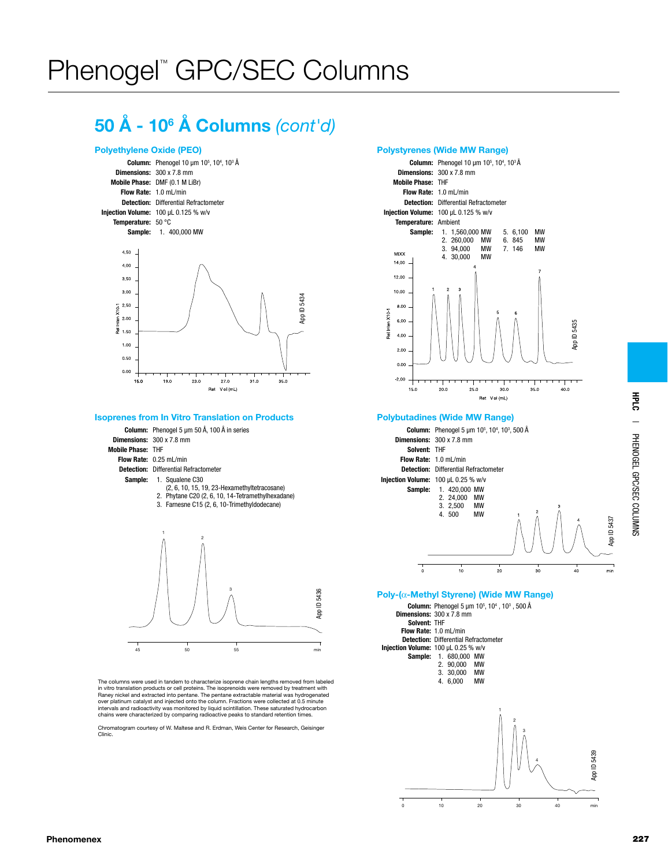## 50 Å - 106 Å Columns *(cont'd)*

#### Polyethylene Oxide (PEO)



#### Isoprenes from In Vitro Translation on Products



The columns were used in tandem to characterize isoprene chain lengths removed from labeled in vitro translation products or cell proteins. The isoprenoids were removed by treatment with Raney nickel and extracted into pentane. The pentane extractable material was hydrogenated<br>over platinum catalyst and injected onto the column. Fractions were collected at 0.5 minute<br>intervals and radioactivity was monitor chains were characterized by comparing radioactive peaks to standard retention times.

Chromatogram courtesy of W. Maltese and R. Erdman, Weis Center for Research, Geisinger Clinic.

#### Polystyrenes (Wide MW Range)



#### Polybutadines (Wide MW Range)



#### Poly-(α-Methyl Styrene) (Wide MW Range)

|                                     |                                 |                              | <b>Column:</b> Phenogel 5 µm $10^5$ , $10^4$ , $10^3$ , 500 Å |  |  |
|-------------------------------------|---------------------------------|------------------------------|---------------------------------------------------------------|--|--|
|                                     | <b>Dimensions: 300 x 7.8 mm</b> |                              |                                                               |  |  |
| Solvent: THF                        |                                 |                              |                                                               |  |  |
| Flow Rate: 1.0 mL/min               |                                 |                              |                                                               |  |  |
|                                     |                                 |                              | <b>Detection: Differential Refractometer</b>                  |  |  |
| Injection Volume: 100 µL 0.25 % w/v |                                 |                              |                                                               |  |  |
|                                     |                                 | <b>Sample: 1. 680,000 MW</b> |                                                               |  |  |
|                                     |                                 | 2. 90.000                    | <b>MW</b>                                                     |  |  |
|                                     |                                 | 3. 30.000 MW                 |                                                               |  |  |
|                                     |                                 | 4. 6.000                     | <b>MW</b>                                                     |  |  |
|                                     |                                 |                              |                                                               |  |  |
|                                     |                                 |                              |                                                               |  |  |

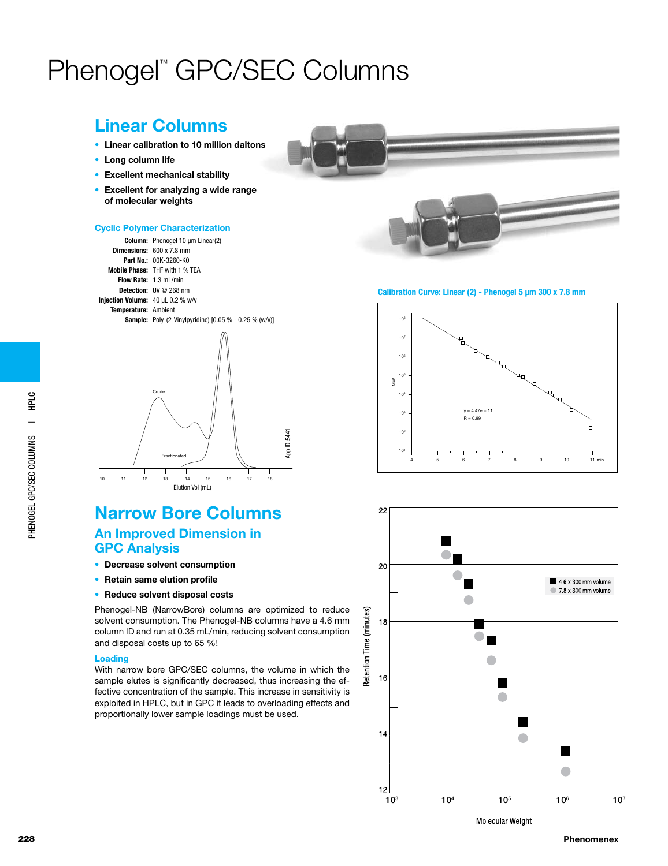## Linear Columns

- • Linear calibration to 10 million daltons
- • Long column life
- Excellent mechanical stability
- Excellent for analyzing a wide range of molecular weights

#### Cyclic Polymer Characterization





## Narrow Bore Columns An Improved Dimension in

### GPC Analysis

- Decrease solvent consumption
- Retain same elution profile
- Reduce solvent disposal costs

Phenogel-NB (NarrowBore) columns are optimized to reduce solvent consumption. The Phenogel-NB columns have a 4.6 mm column ID and run at 0.35 mL/min, reducing solvent consumption and disposal costs up to 65 %!

#### Loading

With narrow bore GPC/SEC columns, the volume in which the sample elutes is significantly decreased, thus increasing the effective concentration of the sample. This increase in sensitivity is exploited in HPLC, but in GPC it leads to overloading effects and proportionally lower sample loadings must be used.



#### Calibration Curve: Linear (2) - Phenogel 5 μm 300 x 7.8 mm





228 Phenomenex